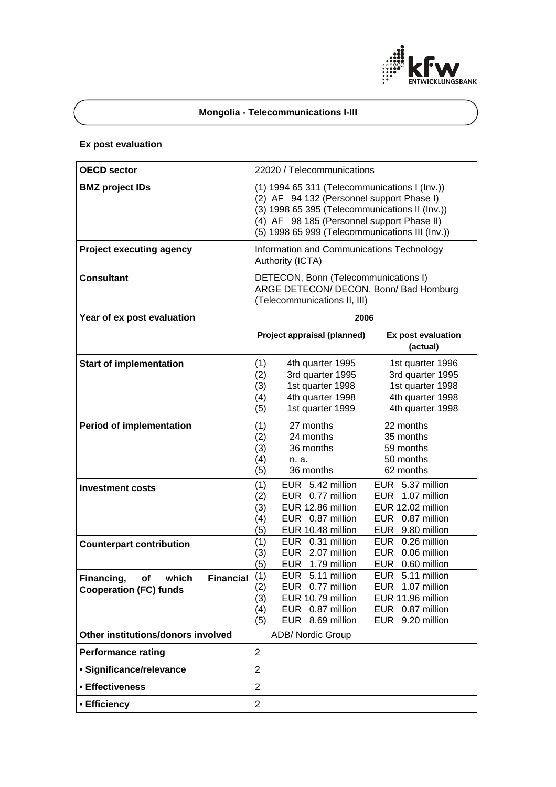

# **Mongolia - Telecommunications I-III**

# **Ex post evaluation**

| <b>OECD sector</b>                                                             | 22020 / Telecommunications                                                                                                                                                                                                                    |                                                                                                             |  |  |
|--------------------------------------------------------------------------------|-----------------------------------------------------------------------------------------------------------------------------------------------------------------------------------------------------------------------------------------------|-------------------------------------------------------------------------------------------------------------|--|--|
| <b>BMZ</b> project IDs                                                         | (1) 1994 65 311 (Telecommunications I (Inv.))<br>(2) AF 94 132 (Personnel support Phase I)<br>(3) 1998 65 395 (Telecommunications II (Inv.))<br>(4) AF 98 185 (Personnel support Phase II)<br>(5) 1998 65 999 (Telecommunications III (Inv.)) |                                                                                                             |  |  |
| <b>Project executing agency</b>                                                | Information and Communications Technology<br>Authority (ICTA)                                                                                                                                                                                 |                                                                                                             |  |  |
| <b>Consultant</b>                                                              | DETECON, Bonn (Telecommunications I)<br>ARGE DETECON/ DECON, Bonn/ Bad Homburg<br>(Telecommunications II, III)                                                                                                                                |                                                                                                             |  |  |
| Year of ex post evaluation                                                     | 2006                                                                                                                                                                                                                                          |                                                                                                             |  |  |
|                                                                                | Project appraisal (planned)                                                                                                                                                                                                                   | Ex post evaluation<br>(actual)                                                                              |  |  |
| <b>Start of implementation</b>                                                 | (1)<br>4th quarter 1995<br>3rd quarter 1995<br>(2)<br>1st quarter 1998<br>(3)<br>4th quarter 1998<br>(4)<br>1st quarter 1999<br>(5)                                                                                                           | 1st quarter 1996<br>3rd quarter 1995<br>1st quarter 1998<br>4th quarter 1998<br>4th quarter 1998            |  |  |
| <b>Period of implementation</b>                                                | (1)<br>27 months<br>24 months<br>(2)<br>36 months<br>(3)<br>(4)<br>n. a.<br>36 months<br>(5)                                                                                                                                                  | 22 months<br>35 months<br>59 months<br>50 months<br>62 months                                               |  |  |
| <b>Investment costs</b>                                                        | EUR 5.42 million<br>(1)<br>EUR 0.77 million<br>(2)<br>EUR 12.86 million<br>(3)<br>EUR 0.87 million<br>(4)<br>(5)<br>EUR 10.48 million                                                                                                         | EUR 5.37 million<br>EUR 1.07 million<br>EUR 12.02 million<br>EUR 0.87 million<br>EUR 9.80 million           |  |  |
| <b>Counterpart contribution</b>                                                | EUR 0.31 million<br>(1)<br>EUR 2.07 million<br>(3)<br>(5)<br>EUR 1.79 million                                                                                                                                                                 | EUR 0.26 million<br>EUR 0.06 million<br>EUR 0.60 million                                                    |  |  |
| <b>Financial</b><br>Financing,<br>Ωf<br>which<br><b>Cooperation (FC) funds</b> | EUR 5.11 million<br>(1)<br>EUR 0.77 million<br>(2)<br>EUR 10.79 million<br>(3)<br>EUR 0.87 million<br>(4)<br>EUR 8.69 million<br>(5)                                                                                                          | 5.11 million<br><b>EUR</b><br>EUR 1.07 million<br>EUR 11.96 million<br>EUR 0.87 million<br>EUR 9.20 million |  |  |
| Other institutions/donors involved                                             | <b>ADB/ Nordic Group</b>                                                                                                                                                                                                                      |                                                                                                             |  |  |
| <b>Performance rating</b>                                                      | $\overline{2}$                                                                                                                                                                                                                                |                                                                                                             |  |  |
| · Significance/relevance                                                       | $\overline{2}$                                                                                                                                                                                                                                |                                                                                                             |  |  |
| • Effectiveness                                                                | $\overline{2}$                                                                                                                                                                                                                                |                                                                                                             |  |  |
| • Efficiency                                                                   | $\overline{2}$                                                                                                                                                                                                                                |                                                                                                             |  |  |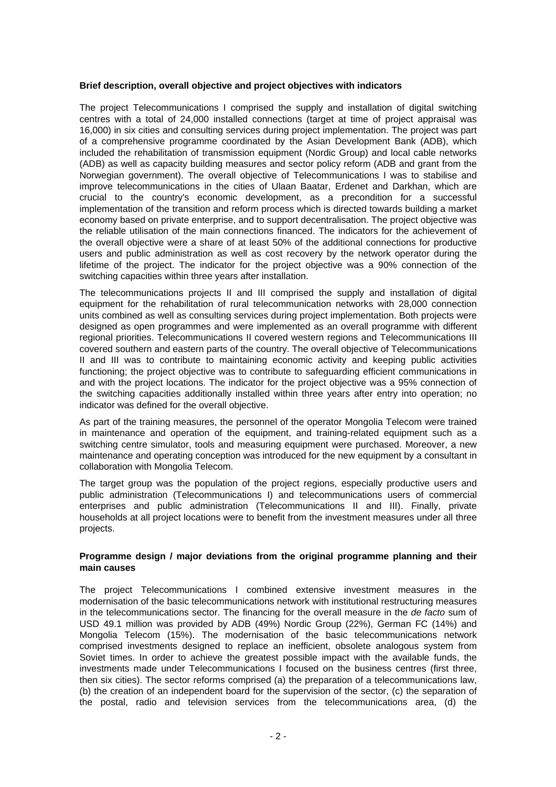#### **Brief description, overall objective and project objectives with indicators**

The project Telecommunications I comprised the supply and installation of digital switching centres with a total of 24,000 installed connections (target at time of project appraisal was 16,000) in six cities and consulting services during project implementation. The project was part of a comprehensive programme coordinated by the Asian Development Bank (ADB), which included the rehabilitation of transmission equipment (Nordic Group) and local cable networks (ADB) as well as capacity building measures and sector policy reform (ADB and grant from the Norwegian government). The overall objective of Telecommunications I was to stabilise and improve telecommunications in the cities of Ulaan Baatar, Erdenet and Darkhan, which are crucial to the country's economic development, as a precondition for a successful implementation of the transition and reform process which is directed towards building a market economy based on private enterprise, and to support decentralisation. The project objective was the reliable utilisation of the main connections financed. The indicators for the achievement of the overall objective were a share of at least 50% of the additional connections for productive users and public administration as well as cost recovery by the network operator during the lifetime of the project. The indicator for the project objective was a 90% connection of the switching capacities within three years after installation.

The telecommunications projects II and III comprised the supply and installation of digital equipment for the rehabilitation of rural telecommunication networks with 28,000 connection units combined as well as consulting services during project implementation. Both projects were designed as open programmes and were implemented as an overall programme with different regional priorities. Telecommunications II covered western regions and Telecommunications III covered southern and eastern parts of the country. The overall objective of Telecommunications II and III was to contribute to maintaining economic activity and keeping public activities functioning; the project objective was to contribute to safeguarding efficient communications in and with the project locations. The indicator for the project objective was a 95% connection of the switching capacities additionally installed within three years after entry into operation; no indicator was defined for the overall objective.

As part of the training measures, the personnel of the operator Mongolia Telecom were trained in maintenance and operation of the equipment, and training-related equipment such as a switching centre simulator, tools and measuring equipment were purchased. Moreover, a new maintenance and operating conception was introduced for the new equipment by a consultant in collaboration with Mongolia Telecom.

The target group was the population of the project regions, especially productive users and public administration (Telecommunications I) and telecommunications users of commercial enterprises and public administration (Telecommunications II and III). Finally, private households at all project locations were to benefit from the investment measures under all three projects.

### **Programme design / major deviations from the original programme planning and their main causes**

The project Telecommunications I combined extensive investment measures in the modernisation of the basic telecommunications network with institutional restructuring measures in the telecommunications sector. The financing for the overall measure in the *de facto* sum of USD 49.1 million was provided by ADB (49%) Nordic Group (22%), German FC (14%) and Mongolia Telecom (15%). The modernisation of the basic telecommunications network comprised investments designed to replace an inefficient, obsolete analogous system from Soviet times. In order to achieve the greatest possible impact with the available funds, the investments made under Telecommunications I focused on the business centres (first three, then six cities). The sector reforms comprised (a) the preparation of a telecommunications law, (b) the creation of an independent board for the supervision of the sector, (c) the separation of the postal, radio and television services from the telecommunications area, (d) the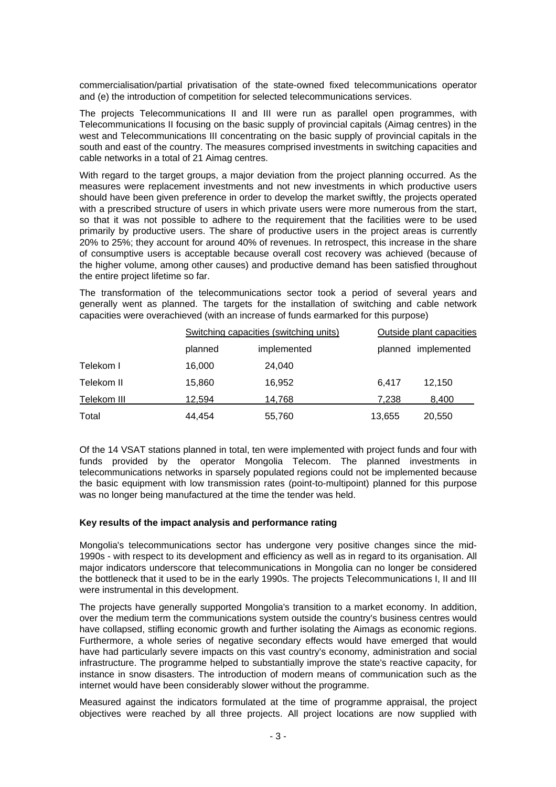commercialisation/partial privatisation of the state-owned fixed telecommunications operator and (e) the introduction of competition for selected telecommunications services.

The projects Telecommunications II and III were run as parallel open programmes, with Telecommunications II focusing on the basic supply of provincial capitals (Aimag centres) in the west and Telecommunications III concentrating on the basic supply of provincial capitals in the south and east of the country. The measures comprised investments in switching capacities and cable networks in a total of 21 Aimag centres.

With regard to the target groups, a major deviation from the project planning occurred. As the measures were replacement investments and not new investments in which productive users should have been given preference in order to develop the market swiftly, the projects operated with a prescribed structure of users in which private users were more numerous from the start, so that it was not possible to adhere to the requirement that the facilities were to be used primarily by productive users. The share of productive users in the project areas is currently 20% to 25%; they account for around 40% of revenues. In retrospect, this increase in the share of consumptive users is acceptable because overall cost recovery was achieved (because of the higher volume, among other causes) and productive demand has been satisfied throughout the entire project lifetime so far.

The transformation of the telecommunications sector took a period of several years and generally went as planned. The targets for the installation of switching and cable network capacities were overachieved (with an increase of funds earmarked for this purpose)

|             | Switching capacities (switching units) |             | Outside plant capacities |                     |
|-------------|----------------------------------------|-------------|--------------------------|---------------------|
|             | planned                                | implemented |                          | planned implemented |
| Telekom I   | 16.000                                 | 24.040      |                          |                     |
| Telekom II  | 15.860                                 | 16,952      | 6.417                    | 12.150              |
| Telekom III | 12.594                                 | 14,768      | 7,238                    | 8,400               |
| Total       | 44,454                                 | 55,760      | 13,655                   | 20,550              |

Of the 14 VSAT stations planned in total, ten were implemented with project funds and four with funds provided by the operator Mongolia Telecom. The planned investments in telecommunications networks in sparsely populated regions could not be implemented because the basic equipment with low transmission rates (point-to-multipoint) planned for this purpose was no longer being manufactured at the time the tender was held.

#### **Key results of the impact analysis and performance rating**

Mongolia's telecommunications sector has undergone very positive changes since the mid-1990s - with respect to its development and efficiency as well as in regard to its organisation. All major indicators underscore that telecommunications in Mongolia can no longer be considered the bottleneck that it used to be in the early 1990s. The projects Telecommunications I, II and III were instrumental in this development.

The projects have generally supported Mongolia's transition to a market economy. In addition, over the medium term the communications system outside the country's business centres would have collapsed, stifling economic growth and further isolating the Aimags as economic regions. Furthermore, a whole series of negative secondary effects would have emerged that would have had particularly severe impacts on this vast country's economy, administration and social infrastructure. The programme helped to substantially improve the state's reactive capacity, for instance in snow disasters. The introduction of modern means of communication such as the internet would have been considerably slower without the programme.

Measured against the indicators formulated at the time of programme appraisal, the project objectives were reached by all three projects. All project locations are now supplied with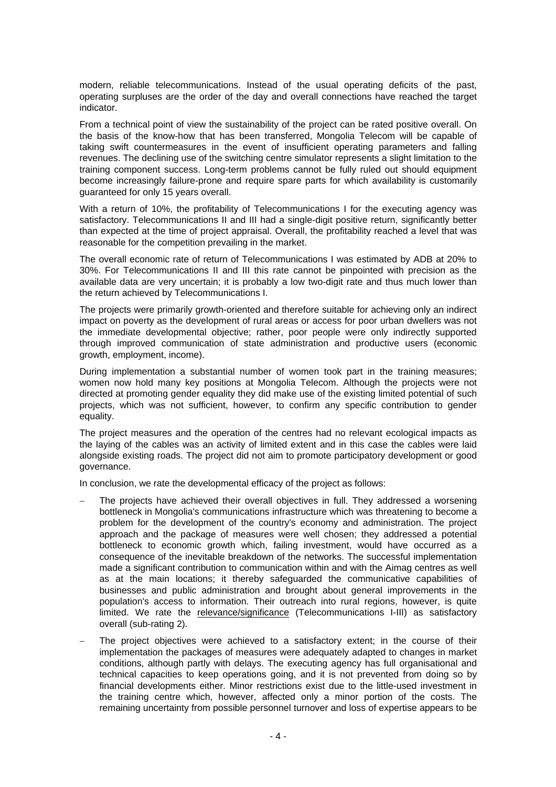modern, reliable telecommunications. Instead of the usual operating deficits of the past, operating surpluses are the order of the day and overall connections have reached the target indicator.

From a technical point of view the sustainability of the project can be rated positive overall. On the basis of the know-how that has been transferred, Mongolia Telecom will be capable of taking swift countermeasures in the event of insufficient operating parameters and falling revenues. The declining use of the switching centre simulator represents a slight limitation to the training component success. Long-term problems cannot be fully ruled out should equipment become increasingly failure-prone and require spare parts for which availability is customarily guaranteed for only 15 years overall.

With a return of 10%, the profitability of Telecommunications I for the executing agency was satisfactory. Telecommunications II and III had a single-digit positive return, significantly better than expected at the time of project appraisal. Overall, the profitability reached a level that was reasonable for the competition prevailing in the market.

The overall economic rate of return of Telecommunications I was estimated by ADB at 20% to 30%. For Telecommunications II and III this rate cannot be pinpointed with precision as the available data are very uncertain; it is probably a low two-digit rate and thus much lower than the return achieved by Telecommunications I.

The projects were primarily growth-oriented and therefore suitable for achieving only an indirect impact on poverty as the development of rural areas or access for poor urban dwellers was not the immediate developmental objective; rather, poor people were only indirectly supported through improved communication of state administration and productive users (economic growth, employment, income).

During implementation a substantial number of women took part in the training measures; women now hold many key positions at Mongolia Telecom. Although the projects were not directed at promoting gender equality they did make use of the existing limited potential of such projects, which was not sufficient, however, to confirm any specific contribution to gender equality.

The project measures and the operation of the centres had no relevant ecological impacts as the laying of the cables was an activity of limited extent and in this case the cables were laid alongside existing roads. The project did not aim to promote participatory development or good governance.

In conclusion, we rate the developmental efficacy of the project as follows:

- The projects have achieved their overall objectives in full. They addressed a worsening bottleneck in Mongolia's communications infrastructure which was threatening to become a problem for the development of the country's economy and administration. The project approach and the package of measures were well chosen; they addressed a potential bottleneck to economic growth which, failing investment, would have occurred as a consequence of the inevitable breakdown of the networks. The successful implementation made a significant contribution to communication within and with the Aimag centres as well as at the main locations; it thereby safeguarded the communicative capabilities of businesses and public administration and brought about general improvements in the population's access to information. Their outreach into rural regions, however, is quite limited. We rate the relevance/significance (Telecommunications I-III) as satisfactory overall (sub-rating 2).
- The project objectives were achieved to a satisfactory extent; in the course of their implementation the packages of measures were adequately adapted to changes in market conditions, although partly with delays. The executing agency has full organisational and technical capacities to keep operations going, and it is not prevented from doing so by financial developments either. Minor restrictions exist due to the little-used investment in the training centre which, however, affected only a minor portion of the costs. The remaining uncertainty from possible personnel turnover and loss of expertise appears to be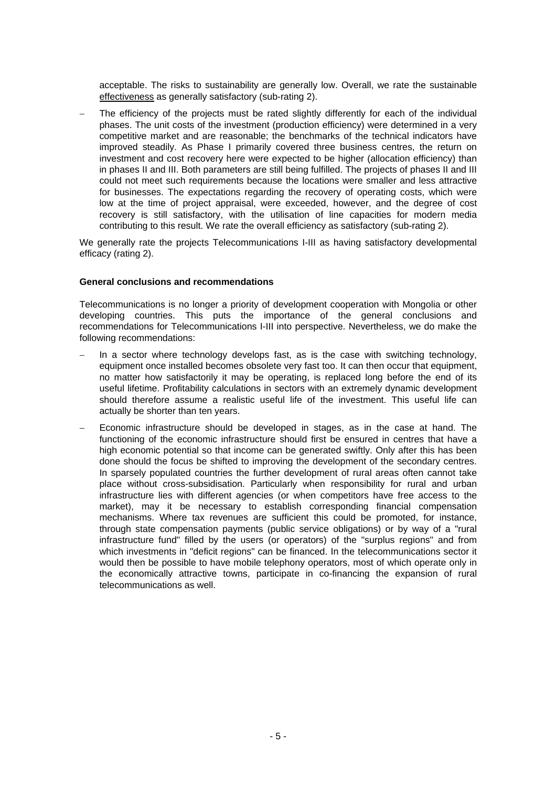acceptable. The risks to sustainability are generally low. Overall, we rate the sustainable effectiveness as generally satisfactory (sub-rating 2).

The efficiency of the projects must be rated slightly differently for each of the individual phases. The unit costs of the investment (production efficiency) were determined in a very competitive market and are reasonable; the benchmarks of the technical indicators have improved steadily. As Phase I primarily covered three business centres, the return on investment and cost recovery here were expected to be higher (allocation efficiency) than in phases II and III. Both parameters are still being fulfilled. The projects of phases II and III could not meet such requirements because the locations were smaller and less attractive for businesses. The expectations regarding the recovery of operating costs, which were low at the time of project appraisal, were exceeded, however, and the degree of cost recovery is still satisfactory, with the utilisation of line capacities for modern media contributing to this result. We rate the overall efficiency as satisfactory (sub-rating 2).

We generally rate the projects Telecommunications I-III as having satisfactory developmental efficacy (rating 2).

### **General conclusions and recommendations**

Telecommunications is no longer a priority of development cooperation with Mongolia or other developing countries. This puts the importance of the general conclusions and recommendations for Telecommunications I-III into perspective. Nevertheless, we do make the following recommendations:

- In a sector where technology develops fast, as is the case with switching technology, equipment once installed becomes obsolete very fast too. It can then occur that equipment, no matter how satisfactorily it may be operating, is replaced long before the end of its useful lifetime. Profitability calculations in sectors with an extremely dynamic development should therefore assume a realistic useful life of the investment. This useful life can actually be shorter than ten years.
- − Economic infrastructure should be developed in stages, as in the case at hand. The functioning of the economic infrastructure should first be ensured in centres that have a high economic potential so that income can be generated swiftly. Only after this has been done should the focus be shifted to improving the development of the secondary centres. In sparsely populated countries the further development of rural areas often cannot take place without cross-subsidisation. Particularly when responsibility for rural and urban infrastructure lies with different agencies (or when competitors have free access to the market), may it be necessary to establish corresponding financial compensation mechanisms. Where tax revenues are sufficient this could be promoted, for instance, through state compensation payments (public service obligations) or by way of a "rural infrastructure fund" filled by the users (or operators) of the "surplus regions" and from which investments in "deficit regions" can be financed. In the telecommunications sector it would then be possible to have mobile telephony operators, most of which operate only in the economically attractive towns, participate in co-financing the expansion of rural telecommunications as well.